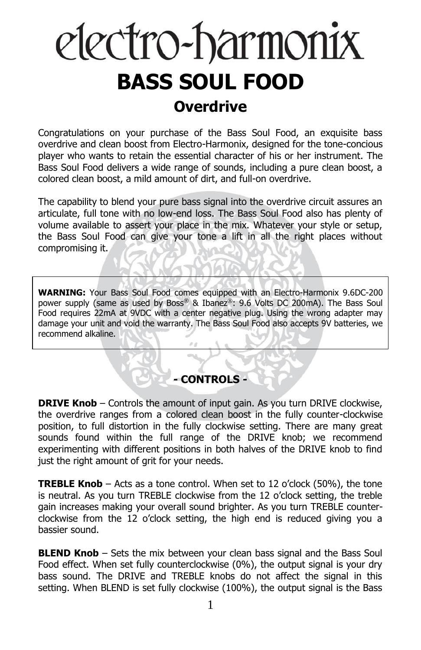# electro-harmonix **BASS SOUL FOOD**

## **Overdrive**

Congratulations on your purchase of the Bass Soul Food, an exquisite bass overdrive and clean boost from Electro-Harmonix, designed for the tone-concious player who wants to retain the essential character of his or her instrument. The Bass Soul Food delivers a wide range of sounds, including a pure clean boost, a colored clean boost, a mild amount of dirt, and full-on overdrive.

The capability to blend your pure bass signal into the overdrive circuit assures an articulate, full tone with no low-end loss. The Bass Soul Food also has plenty of volume available to assert your place in the mix. Whatever your style or setup, the Bass Soul Food can give your tone a lift in all the right places without compromising it.

**WARNING:** Your Bass Soul Food comes equipped with an Electro-Harmonix 9.6DC-200 power supply (same as used by Boss® & Ibanez®: 9.6 Volts DC 200mA). The Bass Soul Food requires 22mA at 9VDC with a center negative plug. Using the wrong adapter may damage your unit and void the warranty. The Bass Soul Food also accepts 9V batteries, we recommend alkaline.

## **- CONTROLS -**

**DRIVE Knob** – Controls the amount of input gain. As you turn DRIVE clockwise, the overdrive ranges from a colored clean boost in the fully counter-clockwise position, to full distortion in the fully clockwise setting. There are many great sounds found within the full range of the DRIVE knob; we recommend experimenting with different positions in both halves of the DRIVE knob to find just the right amount of grit for your needs.

**TREBLE Knob** – Acts as a tone control. When set to 12 o'clock (50%), the tone is neutral. As you turn TREBLE clockwise from the 12 o'clock setting, the treble gain increases making your overall sound brighter. As you turn TREBLE counterclockwise from the 12 o'clock setting, the high end is reduced giving you a bassier sound.

**BLEND Knob** – Sets the mix between your clean bass signal and the Bass Soul Food effect. When set fully counterclockwise (0%), the output signal is your dry bass sound. The DRIVE and TREBLE knobs do not affect the signal in this setting. When BLEND is set fully clockwise (100%), the output signal is the Bass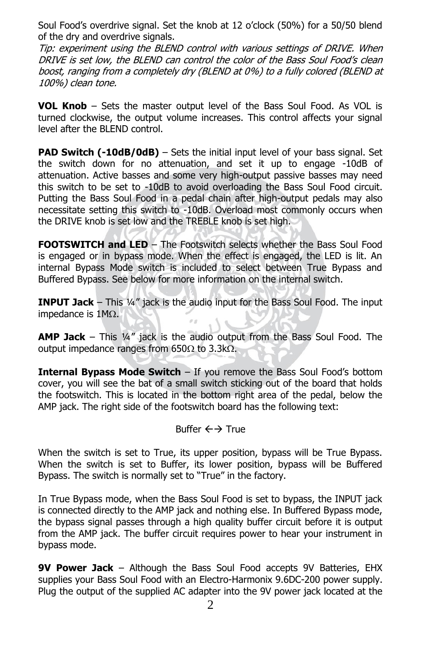Soul Food's overdrive signal. Set the knob at 12 o'clock (50%) for a 50/50 blend of the dry and overdrive signals.

Tip: experiment using the BLEND control with various settings of DRIVE. When DRIVE is set low, the BLEND can control the color of the Bass Soul Food's clean boost, ranging from a completely dry (BLEND at 0%) to a fully colored (BLEND at 100%) clean tone.

**VOL Knob** – Sets the master output level of the Bass Soul Food. As VOL is turned clockwise, the output volume increases. This control affects your signal level after the BLEND control.

**PAD Switch (-10dB/0dB)** – Sets the initial input level of your bass signal. Set the switch down for no attenuation, and set it up to engage -10dB of attenuation. Active basses and some very high-output passive basses may need this switch to be set to -10dB to avoid overloading the Bass Soul Food circuit. Putting the Bass Soul Food in a pedal chain after high-output pedals may also necessitate setting this switch to -10dB. Overload most commonly occurs when the DRIVE knob is set low and the TREBLE knob is set high.

**FOOTSWITCH and LED** – The Footswitch selects whether the Bass Soul Food is engaged or in bypass mode. When the effect is engaged, the LED is lit. An internal Bypass Mode switch is included to select between True Bypass and Buffered Bypass. See below for more information on the internal switch.

**INPUT Jack** – This ¼" jack is the audio input for the Bass Soul Food. The input impedance is  $1M<sub>\Omega</sub>$ .

**AMP Jack** – This ¼" jack is the audio output from the Bass Soul Food. The output impedance ranges from 650 $\Omega$  to 3.3k $\Omega$ .

**Internal Bypass Mode Switch** – If you remove the Bass Soul Food's bottom cover, you will see the bat of a small switch sticking out of the board that holds the footswitch. This is located in the bottom right area of the pedal, below the AMP jack. The right side of the footswitch board has the following text:

## Buffer  $\leftrightarrow$  True

When the switch is set to True, its upper position, bypass will be True Bypass. When the switch is set to Buffer, its lower position, bypass will be Buffered Bypass. The switch is normally set to "True" in the factory.

In True Bypass mode, when the Bass Soul Food is set to bypass, the INPUT jack is connected directly to the AMP jack and nothing else. In Buffered Bypass mode, the bypass signal passes through a high quality buffer circuit before it is output from the AMP jack. The buffer circuit requires power to hear your instrument in bypass mode.

**9V Power Jack** – Although the Bass Soul Food accepts 9V Batteries, EHX supplies your Bass Soul Food with an Electro-Harmonix 9.6DC-200 power supply. Plug the output of the supplied AC adapter into the 9V power jack located at the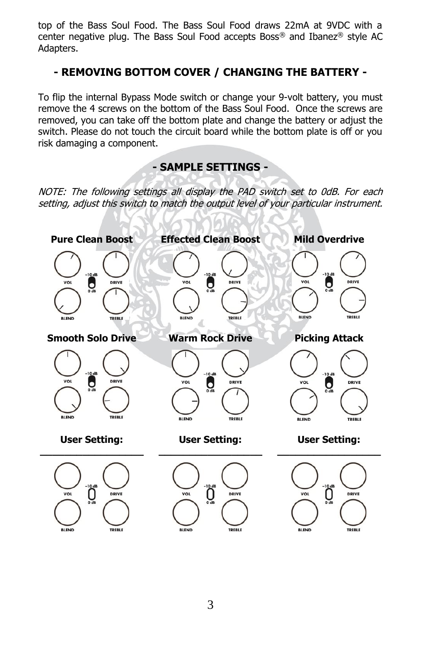top of the Bass Soul Food. The Bass Soul Food draws 22mA at 9VDC with a center negative plug. The Bass Soul Food accepts Boss<sup>®</sup> and Ibanez<sup>®</sup> style AC Adapters.

## **- REMOVING BOTTOM COVER / CHANGING THE BATTERY -**

To flip the internal Bypass Mode switch or change your 9-volt battery, you must remove the 4 screws on the bottom of the Bass Soul Food. Once the screws are removed, you can take off the bottom plate and change the battery or adjust the switch. Please do not touch the circuit board while the bottom plate is off or you risk damaging a component.

## **- SAMPLE SETTINGS -**

NOTE: The following settings all display the PAD switch set to 0dB. For each setting, adjust this switch to match the output level of your particular instrument.